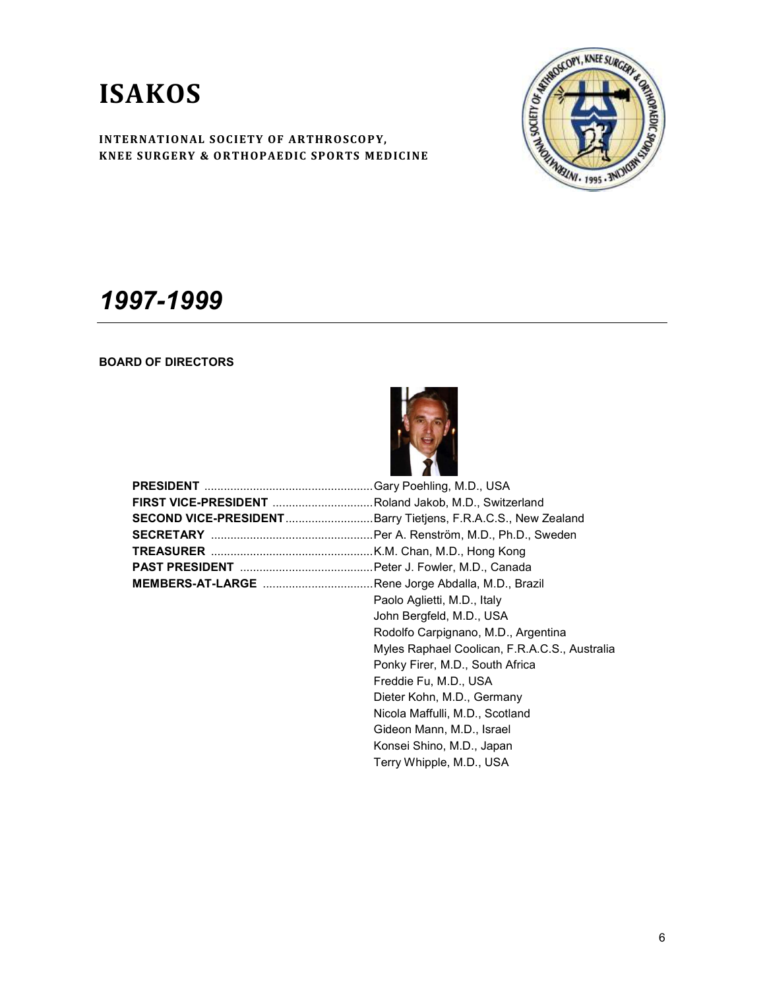

## 1997-1999

## BOARD OF DIRECTORS



| <b>FIRST VICE-PRESIDENT</b> Roland Jakob, M.D., Switzerland          |                                               |
|----------------------------------------------------------------------|-----------------------------------------------|
| <b>SECOND VICE-PRESIDENT</b> Barry Tietjens, F.R.A.C.S., New Zealand |                                               |
|                                                                      |                                               |
|                                                                      |                                               |
|                                                                      |                                               |
| <b>MEMBERS-AT-LARGE</b> Rene Jorge Abdalla, M.D., Brazil             |                                               |
|                                                                      | Paolo Aglietti, M.D., Italy                   |
|                                                                      | John Bergfeld, M.D., USA                      |
|                                                                      | Rodolfo Carpignano, M.D., Argentina           |
|                                                                      | Myles Raphael Coolican, F.R.A.C.S., Australia |
|                                                                      | Ponky Firer, M.D., South Africa               |
|                                                                      | Freddie Fu, M.D., USA                         |
|                                                                      | Dieter Kohn, M.D., Germany                    |
|                                                                      | Nicola Maffulli, M.D., Scotland               |
|                                                                      | Gideon Mann, M.D., Israel                     |
|                                                                      | Konsei Shino, M.D., Japan                     |
|                                                                      | Terry Whipple, M.D., USA                      |
|                                                                      |                                               |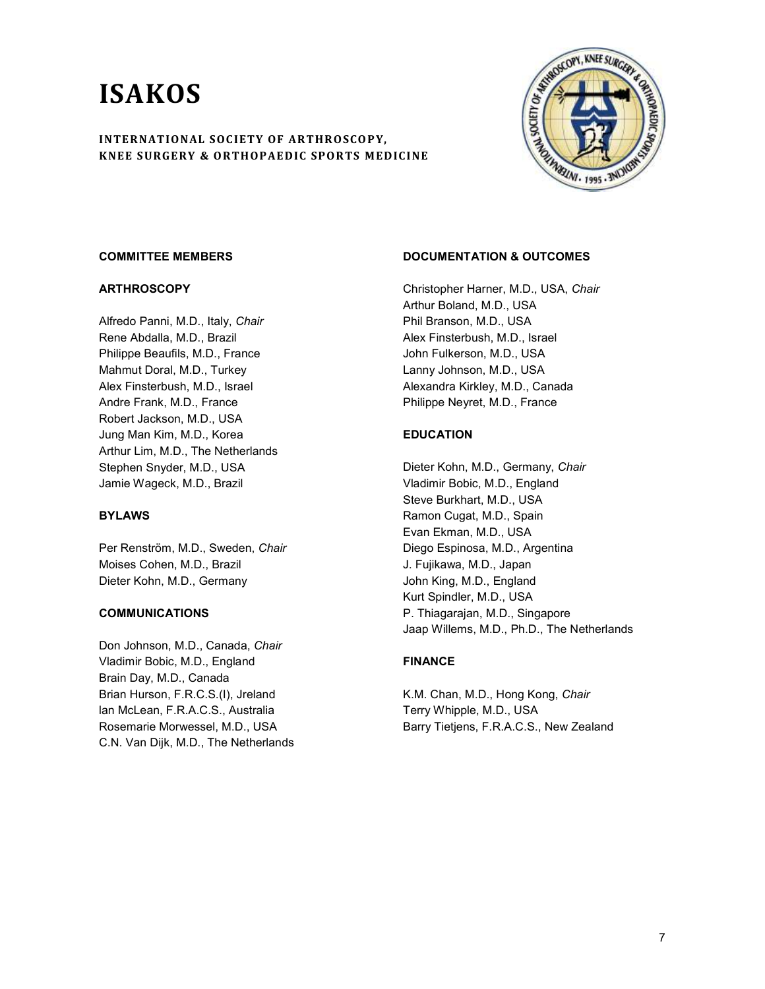

#### COMMITTEE MEMBERS

#### **ARTHROSCOPY**

Alfredo Panni, M.D., Italy, Chair Rene Abdalla, M.D., Brazil Philippe Beaufils, M.D., France Mahmut Doral, M.D., Turkey Alex Finsterbush, M.D., Israel Andre Frank, M.D., France Robert Jackson, M.D., USA Jung Man Kim, M.D., Korea Arthur Lim, M.D., The Netherlands Stephen Snyder, M.D., USA Jamie Wageck, M.D., Brazil

### BYLAWS

Per Renström, M.D., Sweden, Chair Moises Cohen, M.D., Brazil Dieter Kohn, M.D., Germany

#### COMMUNICATIONS

Don Johnson, M.D., Canada, Chair Vladimir Bobic, M.D., England Brain Day, M.D., Canada Brian Hurson, F.R.C.S.(I), Jreland lan McLean, F.R.A.C.S., Australia Rosemarie Morwessel, M.D., USA C.N. Van Dijk, M.D., The Netherlands

## DOCUMENTATION & OUTCOMES

Christopher Harner, M.D., USA, Chair Arthur Boland, M.D., USA Phil Branson, M.D., USA Alex Finsterbush, M.D., Israel John Fulkerson, M.D., USA Lanny Johnson, M.D., USA Alexandra Kirkley, M.D., Canada Philippe Neyret, M.D., France

### EDUCATION

Dieter Kohn, M.D., Germany, Chair Vladimir Bobic, M.D., England Steve Burkhart, M.D., USA Ramon Cugat, M.D., Spain Evan Ekman, M.D., USA Diego Espinosa, M.D., Argentina J. Fujikawa, M.D., Japan John King, M.D., England Kurt Spindler, M.D., USA P. Thiagarajan, M.D., Singapore Jaap Willems, M.D., Ph.D., The Netherlands

### FINANCE

K.M. Chan, M.D., Hong Kong, Chair Terry Whipple, M.D., USA Barry Tietjens, F.R.A.C.S., New Zealand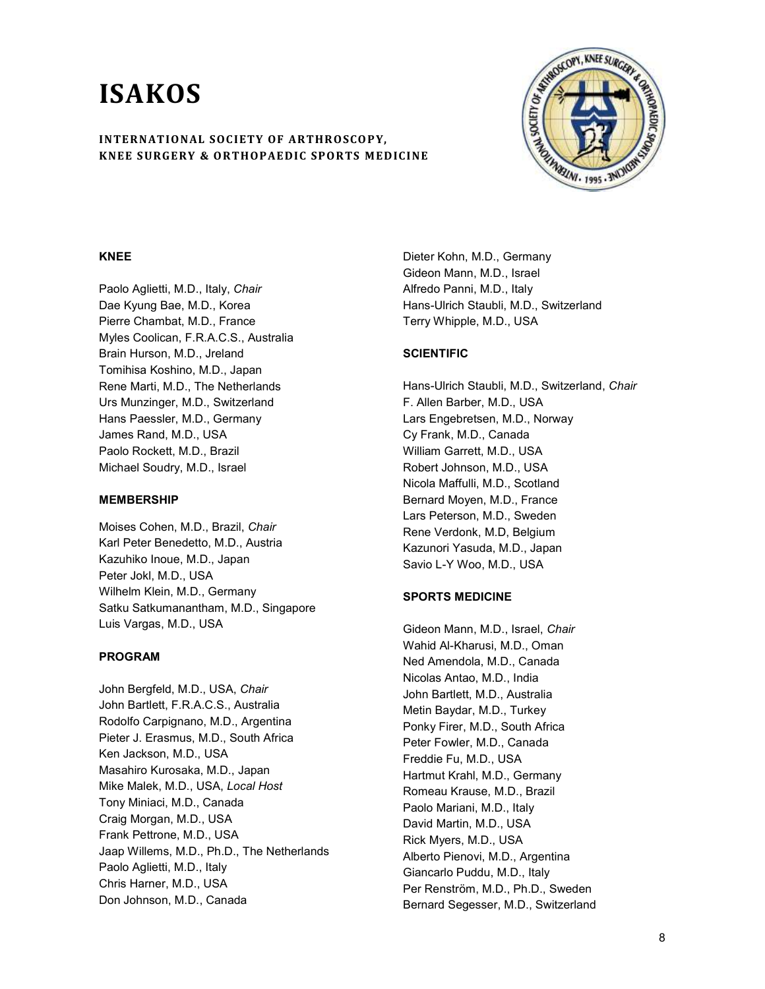

#### KNEE

Paolo Aglietti, M.D., Italy, Chair Dae Kyung Bae, M.D., Korea Pierre Chambat, M.D., France Myles Coolican, F.R.A.C.S., Australia Brain Hurson, M.D., Jreland Tomihisa Koshino, M.D., Japan Rene Marti, M.D., The Netherlands Urs Munzinger, M.D., Switzerland Hans Paessler, M.D., Germany James Rand, M.D., USA Paolo Rockett, M.D., Brazil Michael Soudry, M.D., Israel

#### MEMBERSHIP

Moises Cohen, M.D., Brazil, Chair Karl Peter Benedetto, M.D., Austria Kazuhiko Inoue, M.D., Japan Peter Jokl, M.D., USA Wilhelm Klein, M.D., Germany Satku Satkumanantham, M.D., Singapore Luis Vargas, M.D., USA

#### PROGRAM

John Bergfeld, M.D., USA, Chair John Bartlett, F.R.A.C.S., Australia Rodolfo Carpignano, M.D., Argentina Pieter J. Erasmus, M.D., South Africa Ken Jackson, M.D., USA Masahiro Kurosaka, M.D., Japan Mike Malek, M.D., USA, Local Host Tony Miniaci, M.D., Canada Craig Morgan, M.D., USA Frank Pettrone, M.D., USA Jaap Willems, M.D., Ph.D., The Netherlands Paolo Aglietti, M.D., Italy Chris Harner, M.D., USA Don Johnson, M.D., Canada

Dieter Kohn, M.D., Germany Gideon Mann, M.D., Israel Alfredo Panni, M.D., Italy Hans-Ulrich Staubli, M.D., Switzerland Terry Whipple, M.D., USA

#### **SCIENTIFIC**

Hans-Ulrich Staubli, M.D., Switzerland, Chair F. Allen Barber, M.D., USA Lars Engebretsen, M.D., Norway Cy Frank, M.D., Canada William Garrett, M.D., USA Robert Johnson, M.D., USA Nicola Maffulli, M.D., Scotland Bernard Moyen, M.D., France Lars Peterson, M.D., Sweden Rene Verdonk, M.D, Belgium Kazunori Yasuda, M.D., Japan Savio L-Y Woo, M.D., USA

#### SPORTS MEDICINE

Gideon Mann, M.D., Israel, Chair Wahid Al-Kharusi, M.D., Oman Ned Amendola, M.D., Canada Nicolas Antao, M.D., India John Bartlett, M.D., Australia Metin Baydar, M.D., Turkey Ponky Firer, M.D., South Africa Peter Fowler, M.D., Canada Freddie Fu, M.D., USA Hartmut Krahl, M.D., Germany Romeau Krause, M.D., Brazil Paolo Mariani, M.D., Italy David Martin, M.D., USA Rick Myers, M.D., USA Alberto Pienovi, M.D., Argentina Giancarlo Puddu, M.D., Italy Per Renström, M.D., Ph.D., Sweden Bernard Segesser, M.D., Switzerland